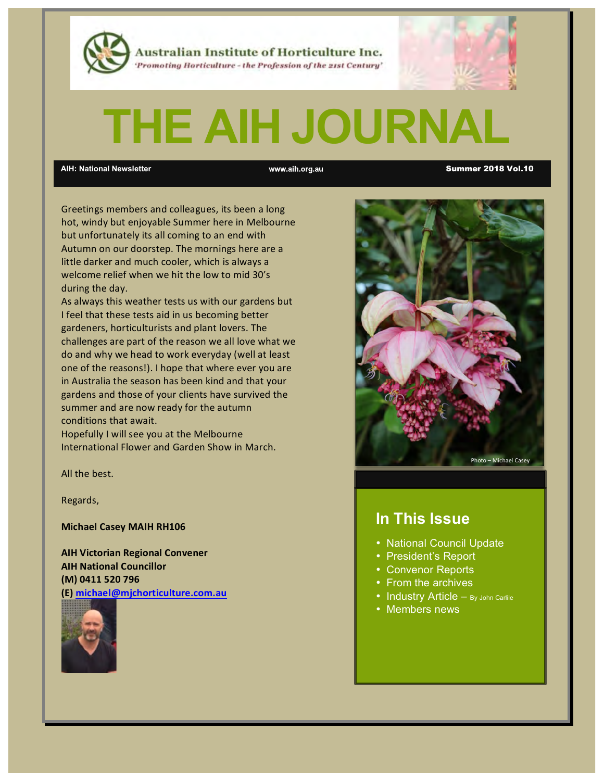

Australian Institute of Horticulture Inc. 'Promoting Horticulture - the Profession of the 21st Century'

# **THE AIH JOURNAL**

**AIH: National Newsletter** Summer 2018 Vol.10

Greetings members and colleagues, its been a long hot, windy but enjoyable Summer here in Melbourne but unfortunately its all coming to an end with Autumn on our doorstep. The mornings here are a little darker and much cooler, which is always a welcome relief when we hit the low to mid 30's during the day.

As always this weather tests us with our gardens but I feel that these tests aid in us becoming better gardeners, horticulturists and plant lovers. The challenges are part of the reason we all love what we do and why we head to work everyday (well at least one of the reasons!). I hope that where ever you are in Australia the season has been kind and that your gardens and those of your clients have survived the summer and are now ready for the autumn conditions that await.

Hopefully I will see you at the Melbourne International Flower and Garden Show in March.

All the best.

Regards,

**Michael Casey MAIH RH106** 

**AIH Victorian Regional Convener AIH National Councillor (M) 0411 520 796 (E) michael@mjchorticulture.com.au**





### **In This Issue**

- National Council Update
- President's Report
- Convenor Reports
- From the archives
- Industry Article By John Carlile
- Members news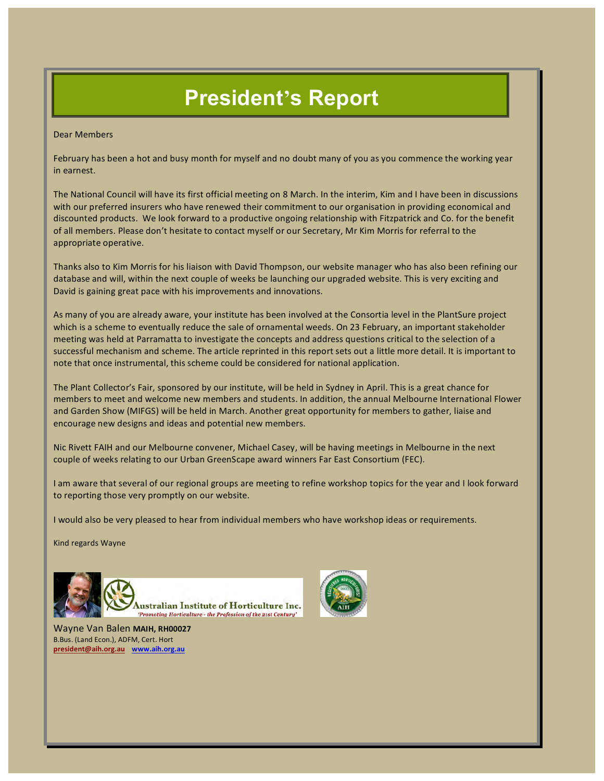# **President's Report**

Dear Members

February has been a hot and busy month for myself and no doubt many of you as you commence the working year in earnest.

The National Council will have its first official meeting on 8 March. In the interim, Kim and I have been in discussions with our preferred insurers who have renewed their commitment to our organisation in providing economical and discounted products. We look forward to a productive ongoing relationship with Fitzpatrick and Co. for the benefit of all members. Please don't hesitate to contact myself or our Secretary, Mr Kim Morris for referral to the appropriate operative.

Thanks also to Kim Morris for his liaison with David Thompson, our website manager who has also been refining our database and will, within the next couple of weeks be launching our upgraded website. This is very exciting and David is gaining great pace with his improvements and innovations.

As many of you are already aware, your institute has been involved at the Consortia level in the PlantSure project which is a scheme to eventually reduce the sale of ornamental weeds. On 23 February, an important stakeholder meeting was held at Parramatta to investigate the concepts and address questions critical to the selection of a successful mechanism and scheme. The article reprinted in this report sets out a little more detail. It is important to note that once instrumental, this scheme could be considered for national application.

The Plant Collector's Fair, sponsored by our institute, will be held in Sydney in April. This is a great chance for members to meet and welcome new members and students. In addition, the annual Melbourne International Flower and Garden Show (MIFGS) will be held in March. Another great opportunity for members to gather, liaise and encourage new designs and ideas and potential new members.

Nic Rivett FAIH and our Melbourne convener, Michael Casey, will be having meetings in Melbourne in the next couple of weeks relating to our Urban GreenScape award winners Far East Consortium (FEC).

I am aware that several of our regional groups are meeting to refine workshop topics for the year and I look forward to reporting those very promptly on our website.

I would also be very pleased to hear from individual members who have workshop ideas or requirements.

Kind regards Wayne



Wayne Van Balen **MAIH, RH00027** B.Bus. (Land Econ.), ADFM, Cert. Hort **president@aih.org.au www.aih.org.au**

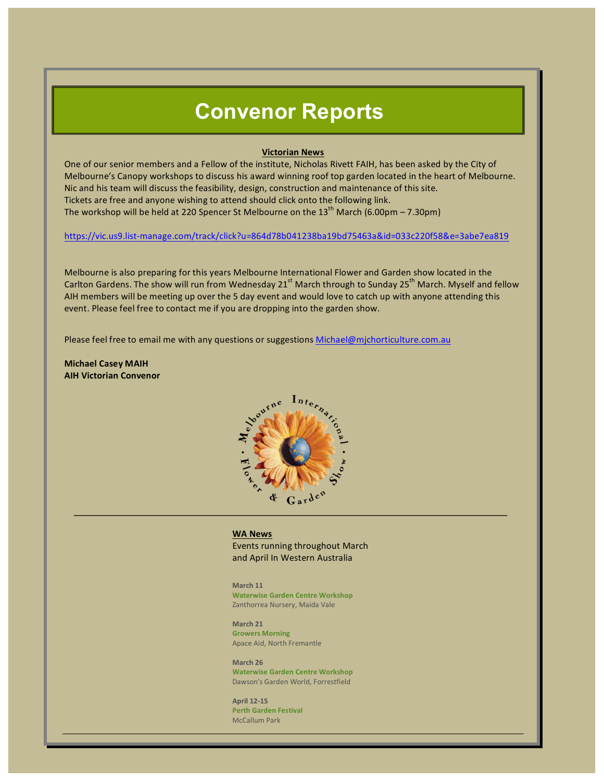### **Convenor Reports**

#### **Victorian News**

One of our senior members and a Fellow of the institute, Nicholas Rivett FAIH, has been asked by the City of Melbourne's Canopy workshops to discuss his award winning roof top garden located in the heart of Melbourne. Nic and his team will discuss the feasibility, design, construction and maintenance of this site. Tickets are free and anyone wishing to attend should click onto the following link. The workshop will be held at 220 Spencer St Melbourne on the  $13<sup>th</sup>$  March (6.00pm – 7.30pm)

https://vic.us9.list-manage.com/track/click?u=864d78b041238ba19bd75463a&id=033c220f58&e=3abe7ea819

Melbourne is also preparing for this years Melbourne International Flower and Garden show located in the Carlton Gardens. The show will run from Wednesday 21<sup>st</sup> March through to Sunday 25<sup>th</sup> March. Myself and fellow AIH members will be meeting up over the 5 day event and would love to catch up with anyone attending this event. Please feel free to contact me if you are dropping into the garden show.

Please feel free to email me with any questions or suggestions Michael@mjchorticulture.com.au

**Michael Casey MAIH AIH Victorian Convenor**



#### **WA News**

Events running throughout March and April In Western Australia

**March 11 Waterwise Garden Centre Workshop** Zanthorrea Nursery, Maida Vale

**March 21 Growers Morning** Apace Aid, North Fremantle

**March 26 Waterwise Garden Centre Workshop** Dawson's Garden World, Forrestfield

**April 12-15 Perth Garden Festival** McCallum Park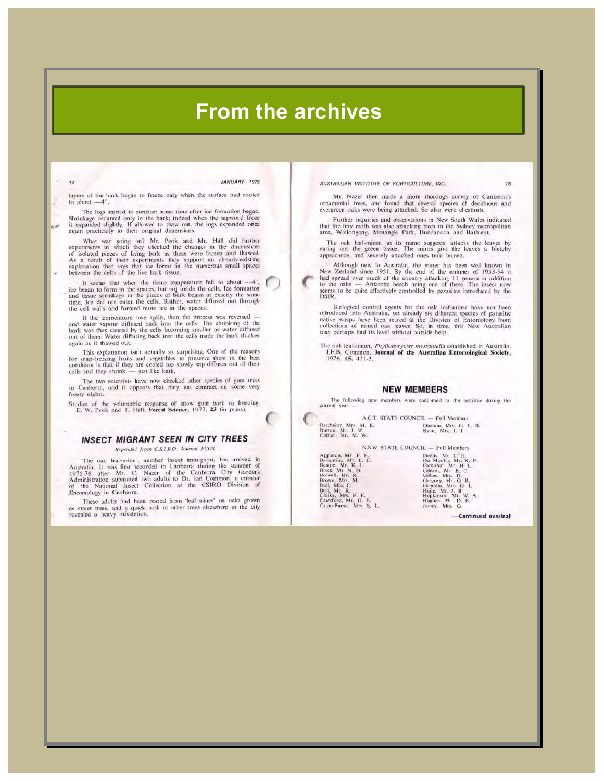### **From the archives**

 $\lambda$ 

JANUARY, 1978

layers of the bark began to freeze only when the surface had cooled to about  $-4^\circ$ 

The logs started to contract some time after ice formation began. Shrinkage occurred only in the bark; indeed when the sapwood froze<br>it expanded slightly. If allowed to thaw out, the logs expanded once<br>again practically to their original dimensions.

What was going on? Mr. Pook and Mr. Hall did further<br>experiments in which they checked the changes in the dimensions<br>of isolated pieces of living bark as these were frozen and thawed. As a result of their experiments they support an already-existing explanation that says that ice forms in the numerous small spaces between the cells of the live bark tissue.

It seems that when the tissue temperature fell to about  $-4^{\circ}$ ,<br>ice began to form in the spaces, but not inside the cells, lee formation<br>and tissue shrinkage in the pieces of bark began at exactly the same<br>time, lee did

If the temperature rose again, then the process was reversed  $-$  and water vapour diffused back into the cells. The shrinking of the chark was thus caused by the cells becoming smaller as water diffused out of them. Water again as it thawed out.

This explanation isn't actually so surprising. One of the reasons In suspension from the weak of the presence them in the best<br>condition is that if they are cooled too slowly sap diffuses out of their<br>cells and they shrink — just like bark.

The two scientists have now checked other species of gum trees in Canberra, and it appears that they too contract on some very frosty nights.

Studies of the volumetric response of snow gum bark to freezing.<br>E, W. Pook and T. Hall. Forest Science, 1977, 23 (in press).

#### **INSECT MIGRANT SEEN IN CITY TREES**

Reprinted from C.S.I.R.O. Journal ECOS

The oak leaf-miner, another insect immigrant, has arrived in<br>Australia. It was first recorded in Canberra during the summer of<br>1975-76 after Mr. C. Nazer of the Canberra City Gardens<br>Administration submitted two adults to

These adults had been reared from 'leaf-mines' on oaks grown<br>as street trees, and a quick look at other trees elsewhere in the city revealed a heavy infestation.

#### AUSTRALIAN INSTITUTE OF HORTICULTURE, INC.

Mr. Nazer then made a more thorough survey of Canberra's<br>ornamental trees, and found that several species of deciduous and<br>evergreen oaks were being attacked. So also were chestnuts,

Further inquiries and observations in New South Wales indicated that the tiny moth was also attacking trees in the Sydney metropolitan<br>area, Wollongong, Menangle Park, Bundanoon and Bathurst.

The oak leaf-miner, as its name suggests, attacks the leaves by eating out the green tissue. The mines give the leaves a blotchy appearance, and severely attacked ones turn brown.

Although new to Australia, the miner has been well known in New Zealand since 1951. By the end of the summer of 1953-54 it had spread over much of the country attacking 11 genera in addition to the oaks — Antarctic beech **DSIR** 

Biological control agents for the oak leaf-miner have not been<br>introduced into Australia, yet already six different species of parasitic<br>intive wasps have been reared at the Division of Entomology from<br>collections of mined

The oak leaf-miner, *Phyllonorycter messaniella* established in Australia.<br>1.F.B. Common. Journal of the Australian Entomological Society, 1976, 15, 471-3.

#### **NEW MEMBERS**

The following new members were welcomed to the Institute during the current year

A.C.T. STATE COUNCIL - Full Members Batchelor, Mrs. M. E.<br>Burton, Mr. J. W.<br>Cottier, Mr. M. W.

Duchon, Mrs, G. L. B.<br>Ryan, Mrs, J. L.

N.W.<br>
Appleton, Mr. F. E. C.<br>
Ballantine, Mr. F. E. C.<br>
Beattle, Mr. K. J.<br>
Black, Mr. N. D.<br>
Black, Mr. N. D.<br>
Brown, Mrs. M.<br>
Bull, Mr. R.<br>
Bull, Mr. R.<br>
Carke, Mrs. E. E.<br>
Crawford, Mr. D. E.<br>
Cripo-Barna, Mrs. S. L.<br>
C

N.S.W. STATE COUNCIL - Full Members TL — Full Members<br>
Dodds, Mr. E. H.<br>
Dodds, Mr. H. H.<br>
Françahar, Mr. H. H.<br>
Gibson, Mr. B. C.<br>
Gibson, Mr. B. C.<br>
Gibson, Mr. G. R.<br>
Greegory, Mr. G. R.<br>
Greegory, Mr. G. R.<br>
Hopkinson, Mr. W. A.<br>
Hopkinson, Mr. W. A.<br>
Hu

-Continued overleaf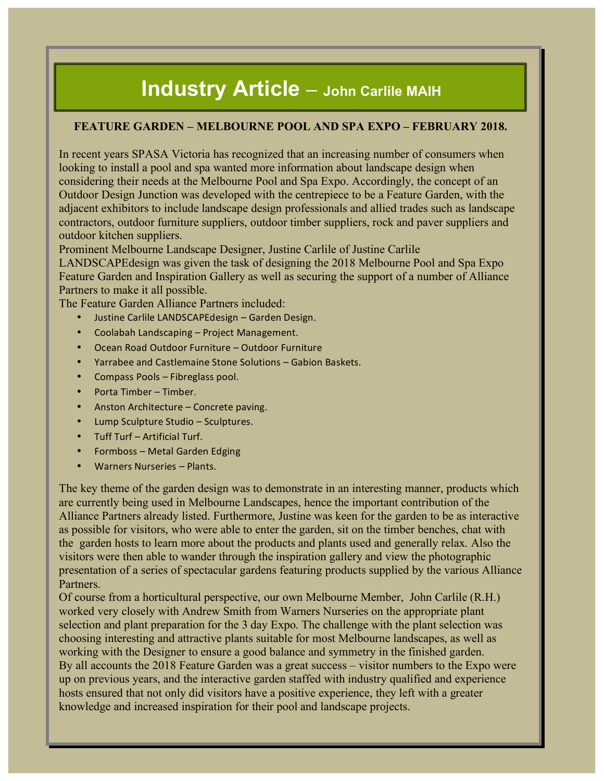# **Industry Article – John Carlile MAIH**

#### **FEATURE GARDEN – MELBOURNE POOL AND SPA EXPO – FEBRUARY 2018.**

In recent years SPASA Victoria has recognized that an increasing number of consumers when looking to install a pool and spa wanted more information about landscape design when considering their needs at the Melbourne Pool and Spa Expo. Accordingly, the concept of an Outdoor Design Junction was developed with the centrepiece to be a Feature Garden, with the adjacent exhibitors to include landscape design professionals and allied trades such as landscape contractors, outdoor furniture suppliers, outdoor timber suppliers, rock and paver suppliers and outdoor kitchen suppliers.

Prominent Melbourne Landscape Designer, Justine Carlile of Justine Carlile

LANDSCAPEdesign was given the task of designing the 2018 Melbourne Pool and Spa Expo Feature Garden and Inspiration Gallery as well as securing the support of a number of Alliance Partners to make it all possible.

The Feature Garden Alliance Partners included:

- Justine Carlile LANDSCAPEdesign Garden Design.
- Coolabah Landscaping Project Management.
- Ocean Road Outdoor Furniture Outdoor Furniture
- Yarrabee and Castlemaine Stone Solutions Gabion Baskets.
- Compass Pools Fibreglass pool.
- Porta Timber Timber.
- Anston Architecture Concrete paving.
- Lump Sculpture Studio Sculptures.
- Tuff Turf Artificial Turf.
- Formboss Metal Garden Edging
- Warners Nurseries Plants.

The key theme of the garden design was to demonstrate in an interesting manner, products which are currently being used in Melbourne Landscapes, hence the important contribution of the Alliance Partners already listed. Furthermore, Justine was keen for the garden to be as interactive as possible for visitors, who were able to enter the garden, sit on the timber benches, chat with the garden hosts to learn more about the products and plants used and generally relax. Also the visitors were then able to wander through the inspiration gallery and view the photographic presentation of a series of spectacular gardens featuring products supplied by the various Alliance Partners.

Of course from a horticultural perspective, our own Melbourne Member, John Carlile (R.H.) worked very closely with Andrew Smith from Warners Nurseries on the appropriate plant selection and plant preparation for the 3 day Expo. The challenge with the plant selection was choosing interesting and attractive plants suitable for most Melbourne landscapes, as well as working with the Designer to ensure a good balance and symmetry in the finished garden. By all accounts the 2018 Feature Garden was a great success – visitor numbers to the Expo were up on previous years, and the interactive garden staffed with industry qualified and experience hosts ensured that not only did visitors have a positive experience, they left with a greater knowledge and increased inspiration for their pool and landscape projects.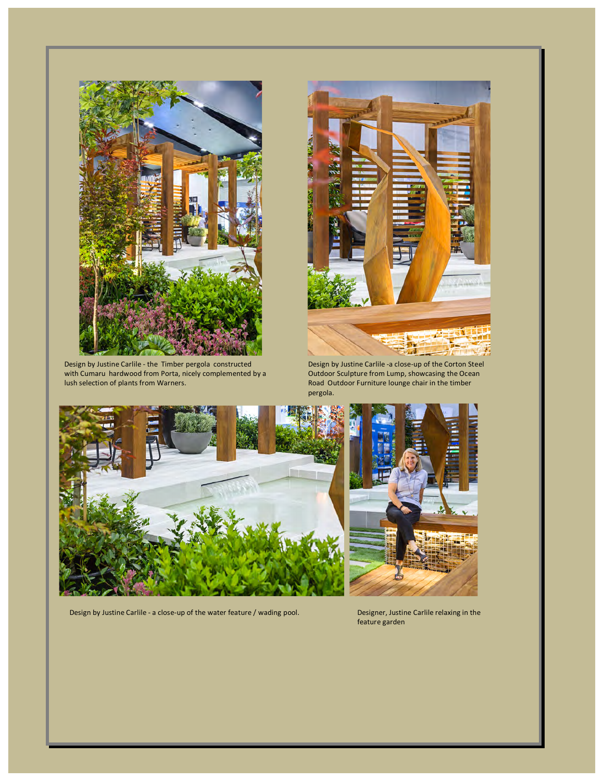

Design by Justine Carlile - the Timber pergola constructed with Cumaru hardwood from Porta, nicely complemented by a lush selection of plants from Warners.



Design by Justine Carlile -a close-up of the Corton Steel Outdoor Sculpture from Lump, showcasing the Ocean Road Outdoor Furniture lounge chair in the timber pergola.



Design by Justine Carlile - a close-up of the water feature / wading pool. Designer, Justine Carlile relaxing in the



feature garden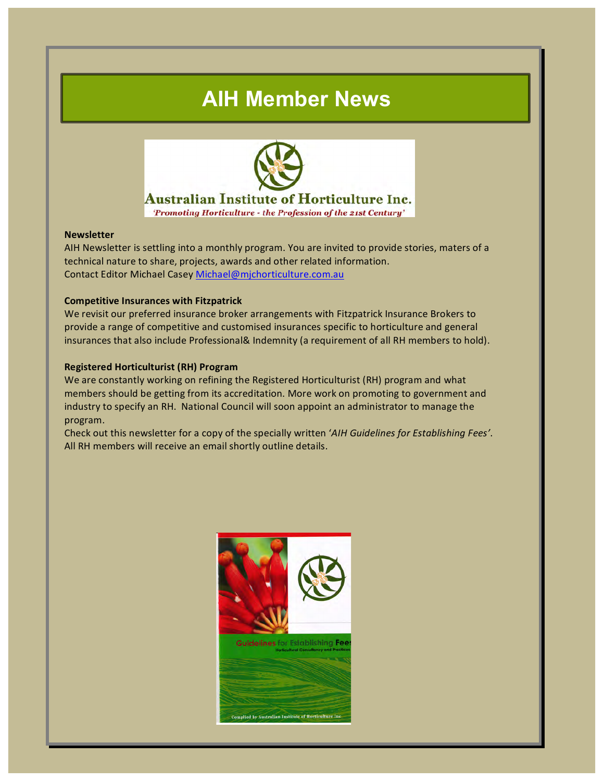# **AIH Member News**



#### **Australian Institute of Horticulture Inc.**

'Promoting Horticulture - the Profession of the 21st Century'

#### **Newsletter**

AIH Newsletter is settling into a monthly program. You are invited to provide stories, maters of a technical nature to share, projects, awards and other related information. Contact Editor Michael Casey Michael@mjchorticulture.com.au

#### **Competitive Insurances with Fitzpatrick**

We revisit our preferred insurance broker arrangements with Fitzpatrick Insurance Brokers to provide a range of competitive and customised insurances specific to horticulture and general insurances that also include Professional& Indemnity (a requirement of all RH members to hold).

#### **Registered Horticulturist (RH) Program**

We are constantly working on refining the Registered Horticulturist (RH) program and what members should be getting from its accreditation. More work on promoting to government and industry to specify an RH. National Council will soon appoint an administrator to manage the program.

Check out this newsletter for a copy of the specially written 'AIH Guidelines for Establishing Fees'. All RH members will receive an email shortly outline details.

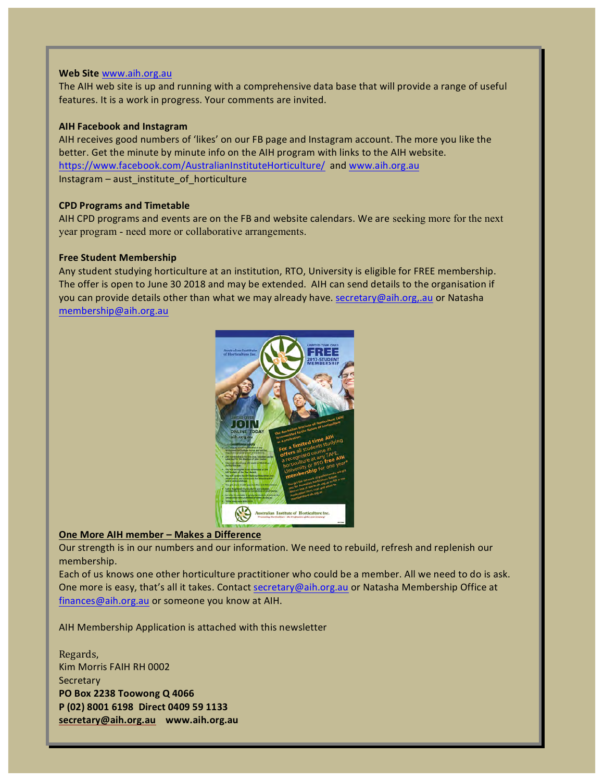#### Web Site www.aih.org.au

The AIH web site is up and running with a comprehensive data base that will provide a range of useful features. It is a work in progress. Your comments are invited.

#### **AIH Facebook and Instagram**

AIH receives good numbers of 'likes' on our FB page and Instagram account. The more you like the better. Get the minute by minute info on the AIH program with links to the AIH website. https://www.facebook.com/AustralianInstituteHorticulture/ and www.aih.org.au Instagram – aust\_institute\_of\_horticulture

#### **CPD Programs and Timetable**

AIH CPD programs and events are on the FB and website calendars. We are seeking more for the next year program - need more or collaborative arrangements.

#### **Free Student Membership**

Any student studying horticulture at an institution, RTO, University is eligible for FREE membership. The offer is open to June 30 2018 and may be extended. AIH can send details to the organisation if you can provide details other than what we may already have. **secretary@aih.org,.au** or Natasha membership@aih.org.au



#### **One More AIH member - Makes a Difference**

Our strength is in our numbers and our information. We need to rebuild, refresh and replenish our membership.

Each of us knows one other horticulture practitioner who could be a member. All we need to do is ask. One more is easy, that's all it takes. Contact secretary@aih.org.au or Natasha Membership Office at finances@aih.org.au or someone you know at AIH.

AIH Membership Application is attached with this newsletter

Regards, Kim Morris FAIH RH 0002 **Secretary PO Box 2238 Toowong Q 4066 P (02) 8001 6198 Direct 0409 59 1133 secretary@aih.org.au www.aih.org.au**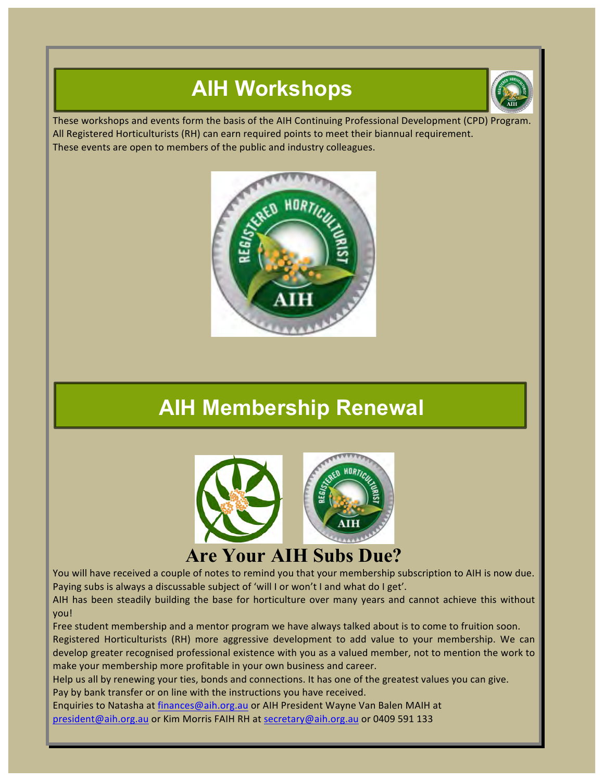# **AIH Workshops**



These workshops and events form the basis of the AIH Continuing Professional Development (CPD) Program. All Registered Horticulturists (RH) can earn required points to meet their biannual requirement. These events are open to members of the public and industry colleagues.



# **AIH Membership Renewal**



### **Are Your AIH Subs Due?**

You will have received a couple of notes to remind you that your membership subscription to AIH is now due. Paying subs is always a discussable subject of 'will I or won't I and what do I get'.

AIH has been steadily building the base for horticulture over many years and cannot achieve this without you!

Free student membership and a mentor program we have always talked about is to come to fruition soon. Registered Horticulturists (RH) more aggressive development to add value to your membership. We can develop greater recognised professional existence with you as a valued member, not to mention the work to make your membership more profitable in your own business and career.

Help us all by renewing your ties, bonds and connections. It has one of the greatest values you can give. Pay by bank transfer or on line with the instructions you have received.

Enquiries to Natasha at finances@aih.org.au or AIH President Wayne Van Balen MAIH at president@aih.org.au or Kim Morris FAIH RH at secretary@aih.org.au or 0409 591 133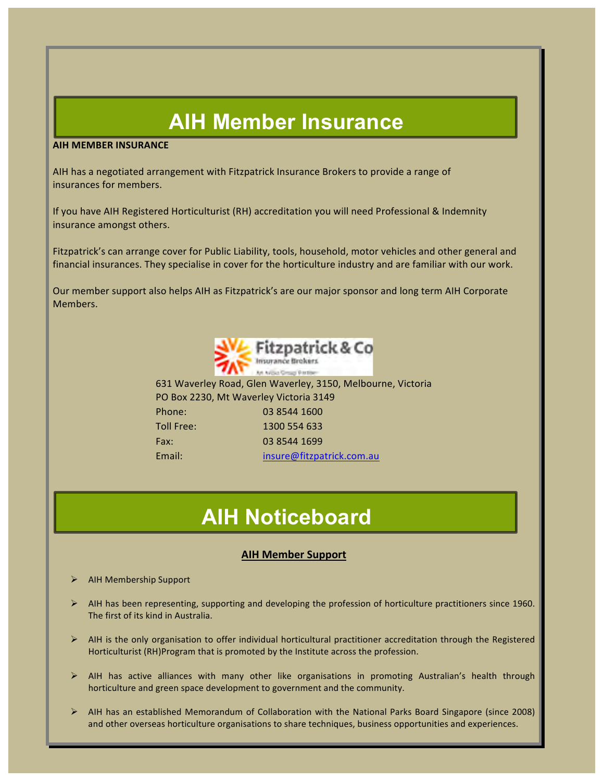# **AIH Member Insurance**

#### **AIH MEMBER INSURANCE**

AIH has a negotiated arrangement with Fitzpatrick Insurance Brokers to provide a range of insurances for members.

If you have AIH Registered Horticulturist (RH) accreditation you will need Professional & Indemnity insurance amongst others.

Fitzpatrick's can arrange cover for Public Liability, tools, household, motor vehicles and other general and financial insurances. They specialise in cover for the horticulture industry and are familiar with our work.

Our member support also helps AIH as Fitzpatrick's are our major sponsor and long term AIH Corporate Members.



631 Waverley Road, Glen Waverley, 3150, Melbourne, Victoria PO Box 2230, Mt Waverley Victoria 3149 Phone: 03 8544 1600 Toll Free: 1300 554 633 Fax: 03 8544 1699 Email: insure@fitzpatrick.com.au

# **AIH Noticeboard**

#### **AIH Member Support**

- **AIH Membership Support**
- $\triangleright$  AIH has been representing, supporting and developing the profession of horticulture practitioners since 1960. The first of its kind in Australia.
- $\triangleright$  AIH is the only organisation to offer individual horticultural practitioner accreditation through the Registered Horticulturist (RH)Program that is promoted by the Institute across the profession.
- $\triangleright$  AIH has active alliances with many other like organisations in promoting Australian's health through horticulture and green space development to government and the community.
- $\triangleright$  AIH has an established Memorandum of Collaboration with the National Parks Board Singapore (since 2008) and other overseas horticulture organisations to share techniques, business opportunities and experiences.